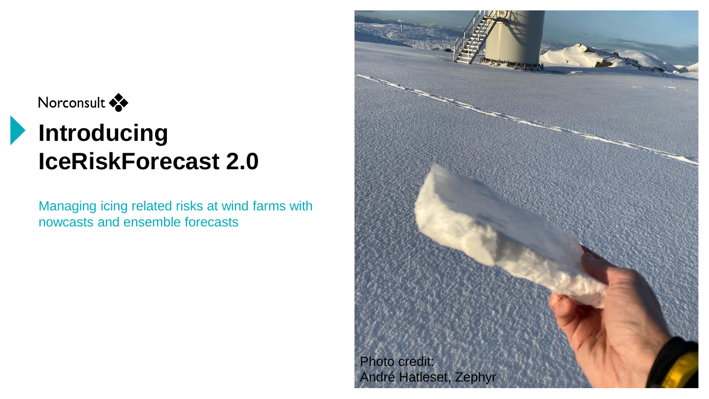#### Norconsult

# **Introducing IceRiskForecast 2.0**

Managing icing related risks at wind farms with nowcasts and ensemble forecasts

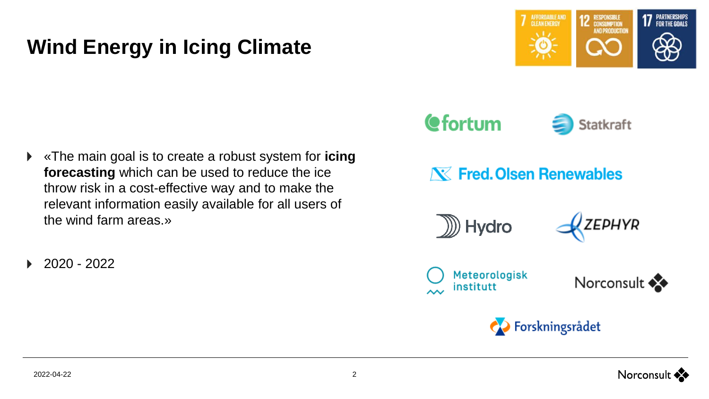## **Wind Energy in Icing Climate**

7 AFFORDABLE AND **12 RESPONSIBLE 17 PARTNERSHIPS AND PRODUCTION** 

- «The main goal is to create a robust system for **icing forecasting** which can be used to reduce the ice throw risk in a cost-effective way and to make the relevant information easily available for all users of the wind farm areas.»
- 2020 2022







ZEPHYR





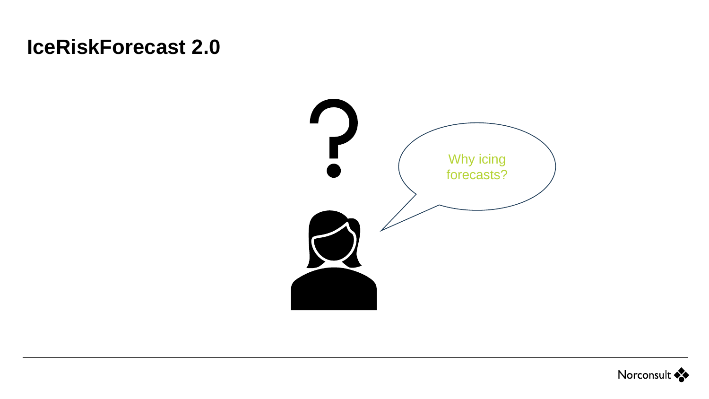### **IceRiskForecast 2.0**



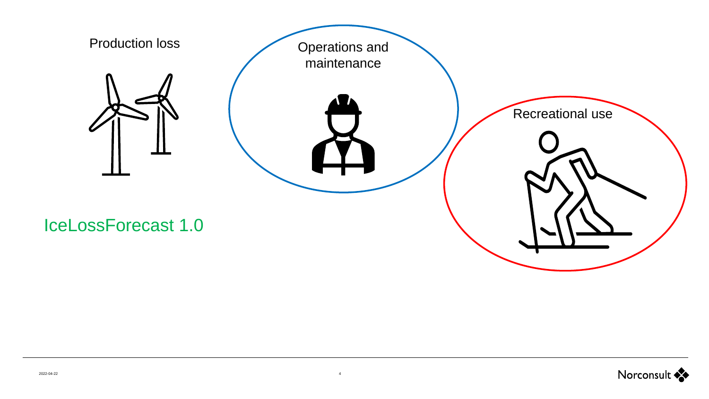

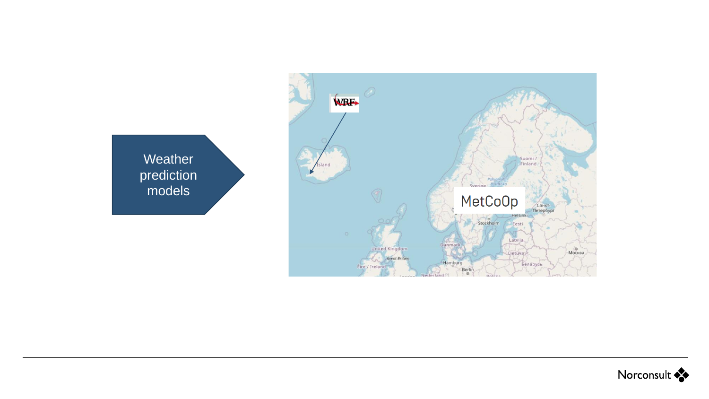

Weather prediction models

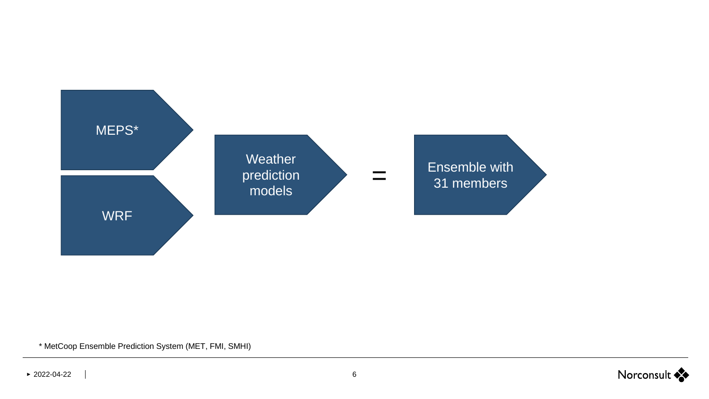

\* MetCoop Ensemble Prediction System (MET, FMI, SMHI)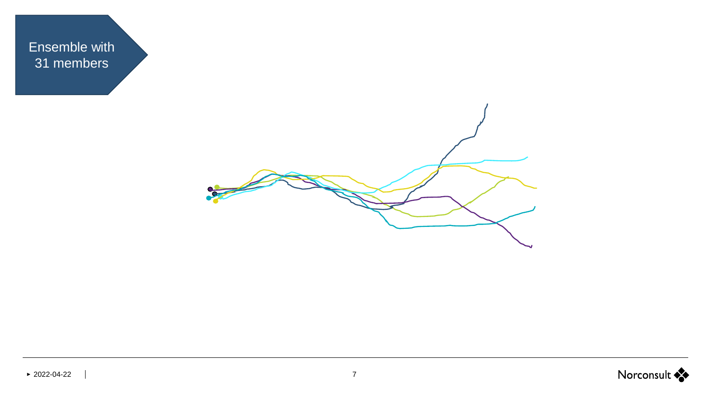Ensemble with 31 members

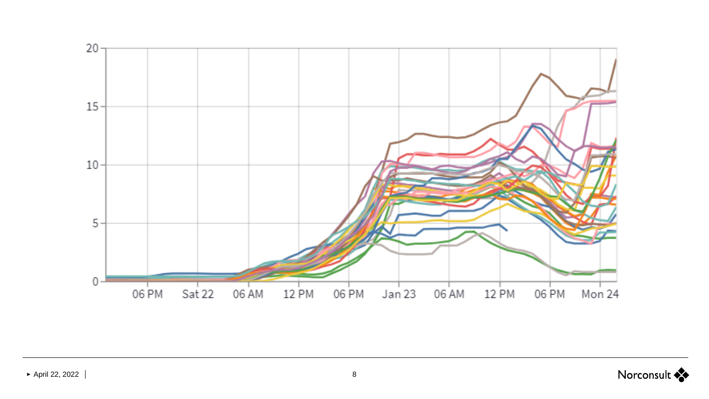

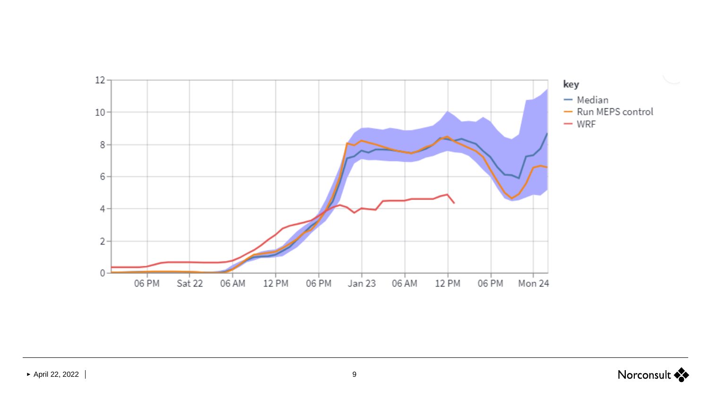

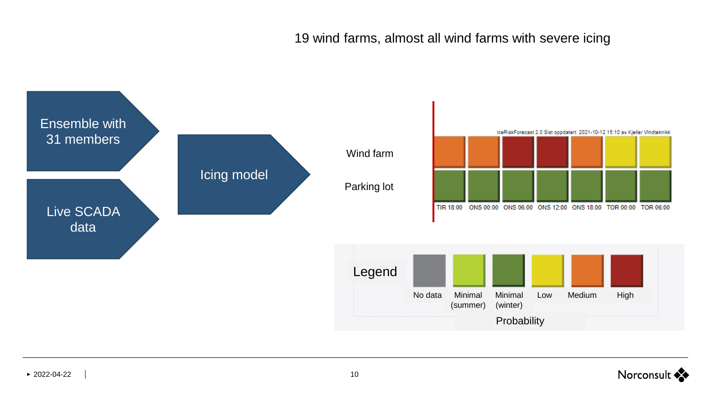19 wind farms, almost all wind farms with severe icing

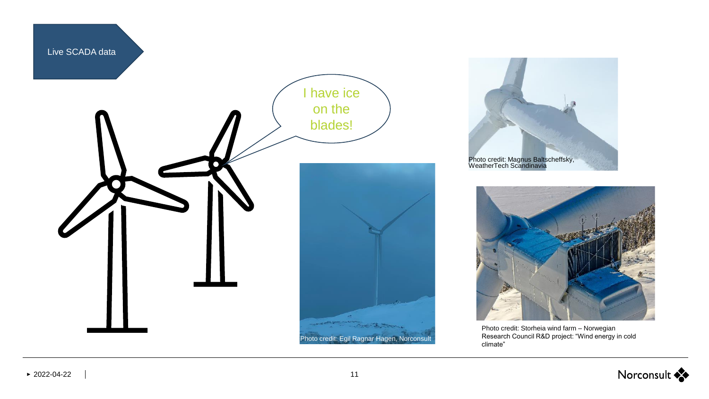





Photo credit: Storheia wind farm – Norwegian Research Council R&D project: "Wind energy in cold climate"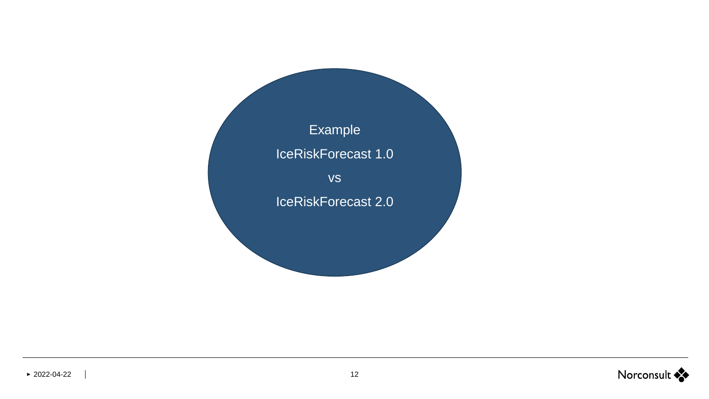

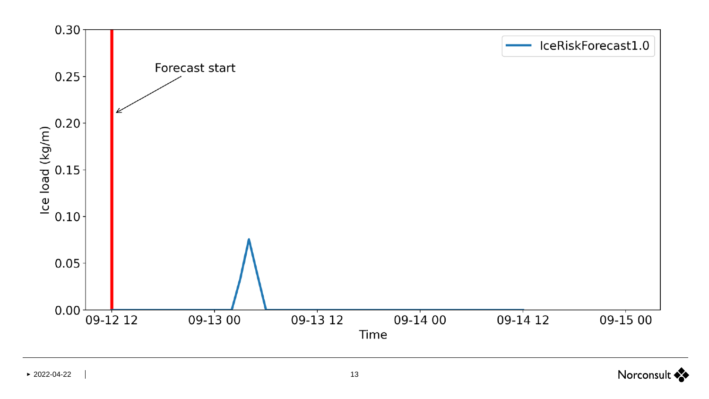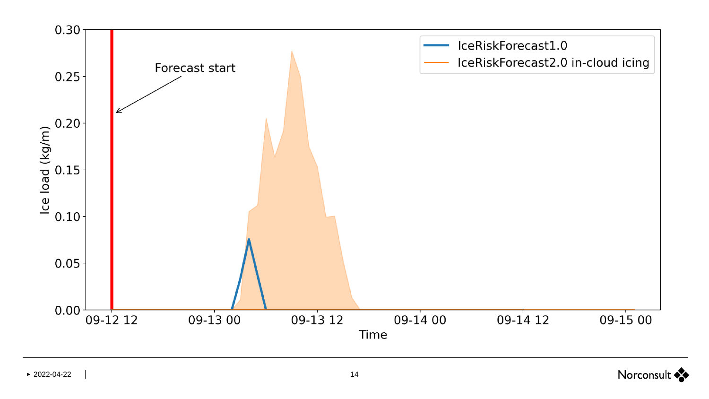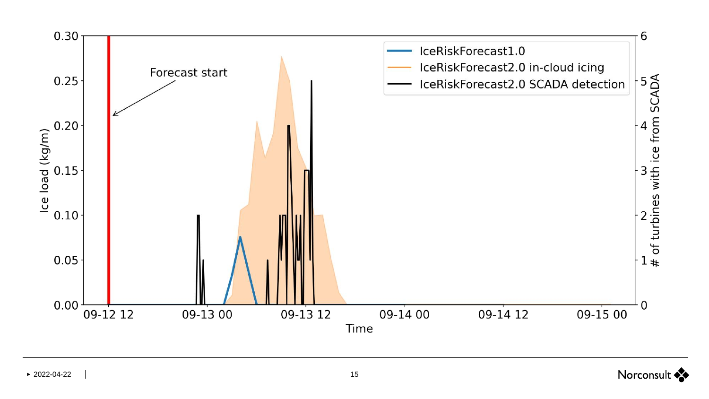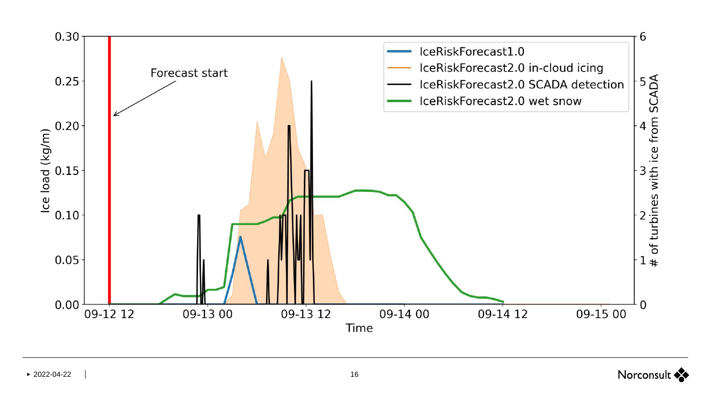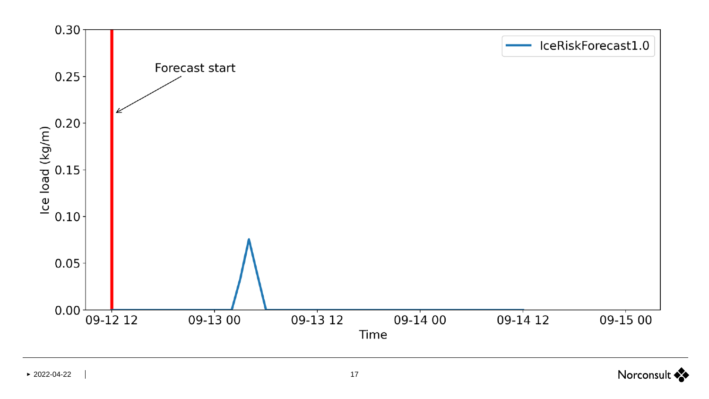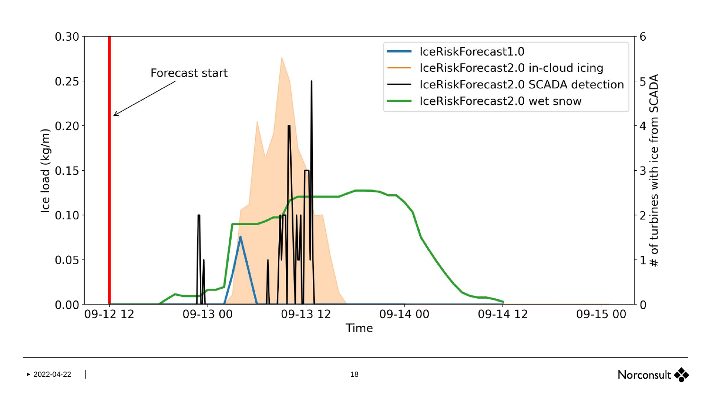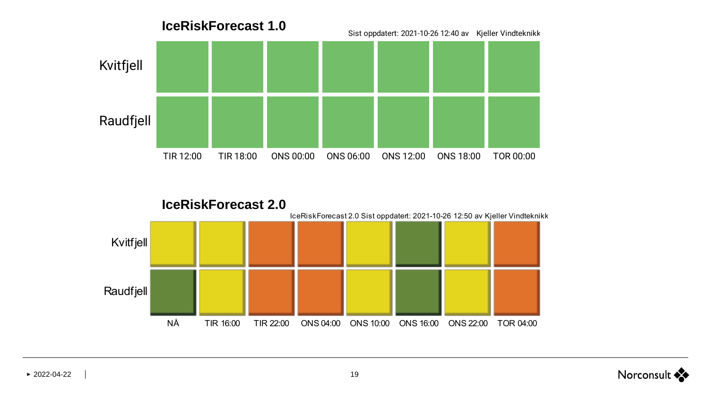



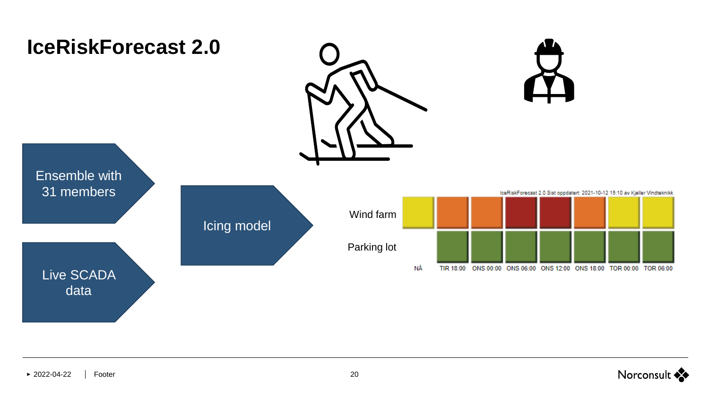